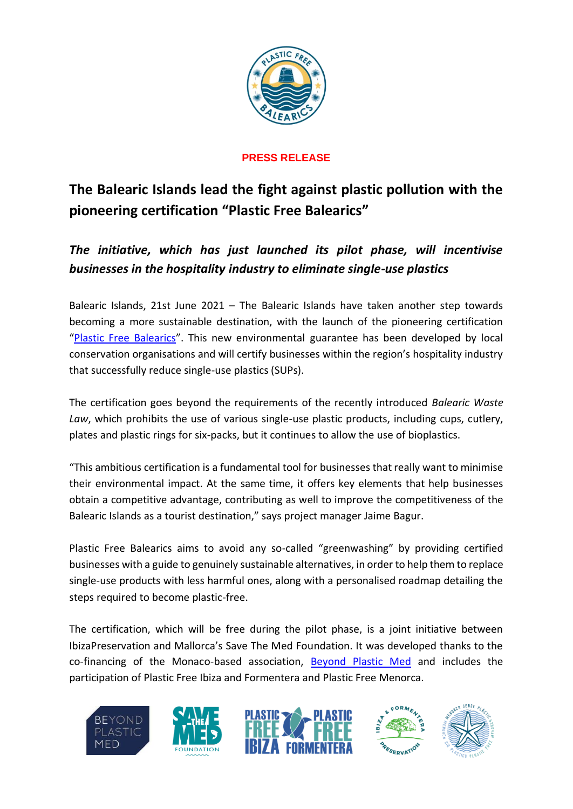

# **PRESS RELEASE**

# **The Balearic Islands lead the fight against plastic pollution with the pioneering certification "Plastic Free Balearics"**

*The initiative, which has just launched its pilot phase, will incentivise businesses in the hospitality industry to eliminate single-use plastics*

Balearic Islands, 21st June 2021 – The Balearic Islands have taken another step towards becoming a more sustainable destination, with the launch of the pioneering certification "[Plastic Free Balearics](https://www.plasticfreebalearics.org/)". This new environmental guarantee has been developed by local conservation organisations and will certify businesses within the region's hospitality industry that successfully reduce single-use plastics (SUPs).

The certification goes beyond the requirements of the recently introduced *Balearic Waste Law*, which prohibits the use of various single-use plastic products, including cups, cutlery, plates and plastic rings for six-packs, but it continues to allow the use of bioplastics.

"This ambitious certification is a fundamental tool for businesses that really want to minimise their environmental impact. At the same time, it offers key elements that help businesses obtain a competitive advantage, contributing as well to improve the competitiveness of the Balearic Islands as a tourist destination," says project manager Jaime Bagur.

Plastic Free Balearics aims to avoid any so-called "greenwashing" by providing certified businesses with a guide to genuinely sustainable alternatives, in order to help them to replace single-use products with less harmful ones, along with a personalised roadmap detailing the steps required to become plastic-free.

The certification, which will be free during the pilot phase, is a joint initiative between IbizaPreservation and Mallorca's Save The Med Foundation. It was developed thanks to the co-financing of the Monaco-based association, [Beyond Plastic Med](http://www.beyondplasticmed.org/) and includes the participation of Plastic Free Ibiza and Formentera and Plastic Free Menorca.

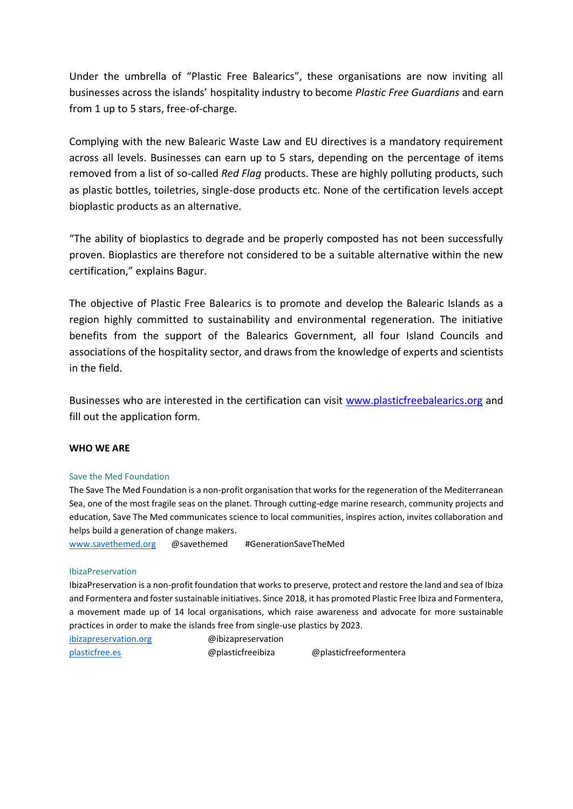Under the umbrella of "Plastic Free Balearics", these organisations are now inviting all businesses across the islands' hospitality industry to become *Plastic Free Guardians* and earn from 1 up to 5 stars, free-of-charge.

Complying with the new Balearic Waste Law and EU directives is a mandatory requirement across all levels. Businesses can earn up to 5 stars, depending on the percentage of items removed from a list of so-called *Red Flag* products. These are highly polluting products, such as plastic bottles, toiletries, single-dose products etc. None of the certification levels accept bioplastic products as an alternative.

"The ability of bioplastics to degrade and be properly composted has not been successfully proven. Bioplastics are therefore not considered to be a suitable alternative within the new certification," explains Bagur.

The objective of Plastic Free Balearics is to promote and develop the Balearic Islands as a region highly committed to sustainability and environmental regeneration. The initiative benefits from the support of the Balearics Government, all four Island Councils and associations of the hospitality sector, and draws from the knowledge of experts and scientists in the field.

Businesses who are interested in the certification can visit [www.plasticfreebalearics.org](http://www.plasticfreebalearics.org/) and fill out the application form.

## **WHO WE ARE**

#### Save the Med Foundation

The Save The Med Foundation is a non-profit organisation that works for the regeneration of the Mediterranean Sea, one of the most fragile seas on the planet. Through cutting-edge marine research, community projects and education, Save The Med communicates science to local communities, inspires action, invites collaboration and helps build a generation of change makers.

[www.savethemed.org](http://www.savethemed.org/) @savethemed #GenerationSaveTheMed

#### IbizaPreservation

IbizaPreservation is a non-profit foundation that works to preserve, protect and restore the land and sea of Ibiza and Formentera and foster sustainable initiatives. Since 2018, it has promoted Plastic Free Ibiza and Formentera, a movement made up of 14 local organisations, which raise awareness and advocate for more sustainable practices in order to make the islands free from single-use plastics by 2023.

[ibizapreservation.org](http://ibizapreservation.org/) @ibizapreservation [plasticfree.es](about:blank) [@](about:blank)plasticfreeibiza @plasticfreeformentera